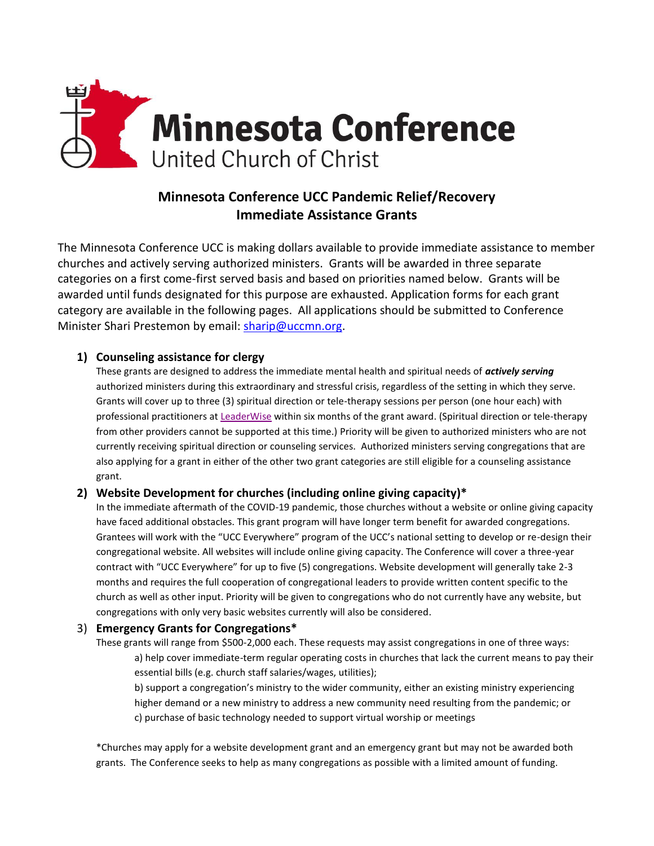

# **Minnesota Conference UCC Pandemic Relief/Recovery Immediate Assistance Grants**

The Minnesota Conference UCC is making dollars available to provide immediate assistance to member churches and actively serving authorized ministers. Grants will be awarded in three separate categories on a first come-first served basis and based on priorities named below. Grants will be awarded until funds designated for this purpose are exhausted. Application forms for each grant category are available in the following pages. All applications should be submitted to Conference Minister Shari Prestemon by email: [sharip@uccmn.org.](mailto:sharip@uccmn.org)

### **1) Counseling assistance for clergy**

These grants are designed to address the immediate mental health and spiritual needs of *actively serving* authorized ministers during this extraordinary and stressful crisis, regardless of the setting in which they serve. Grants will cover up to three (3) spiritual direction or tele-therapy sessions per person (one hour each) with professional practitioners a[t LeaderWise](https://leaderwise.org/) within six months of the grant award. (Spiritual direction or tele-therapy from other providers cannot be supported at this time.) Priority will be given to authorized ministers who are not currently receiving spiritual direction or counseling services. Authorized ministers serving congregations that are also applying for a grant in either of the other two grant categories are still eligible for a counseling assistance grant.

#### **2) Website Development for churches (including online giving capacity)\***

In the immediate aftermath of the COVID-19 pandemic, those churches without a website or online giving capacity have faced additional obstacles. This grant program will have longer term benefit for awarded congregations. Grantees will work with the "UCC Everywhere" program of the UCC's national setting to develop or re-design their congregational website. All websites will include online giving capacity. The Conference will cover a three-year contract with "UCC Everywhere" for up to five (5) congregations. Website development will generally take 2-3 months and requires the full cooperation of congregational leaders to provide written content specific to the church as well as other input. Priority will be given to congregations who do not currently have any website, but congregations with only very basic websites currently will also be considered.

#### 3) **Emergency Grants for Congregations\***

These grants will range from \$500-2,000 each. These requests may assist congregations in one of three ways: a) help cover immediate-term regular operating costs in churches that lack the current means to pay their essential bills (e.g. church staff salaries/wages, utilities);

b) support a congregation's ministry to the wider community, either an existing ministry experiencing higher demand or a new ministry to address a new community need resulting from the pandemic; or c) purchase of basic technology needed to support virtual worship or meetings

\*Churches may apply for a website development grant and an emergency grant but may not be awarded both grants. The Conference seeks to help as many congregations as possible with a limited amount of funding.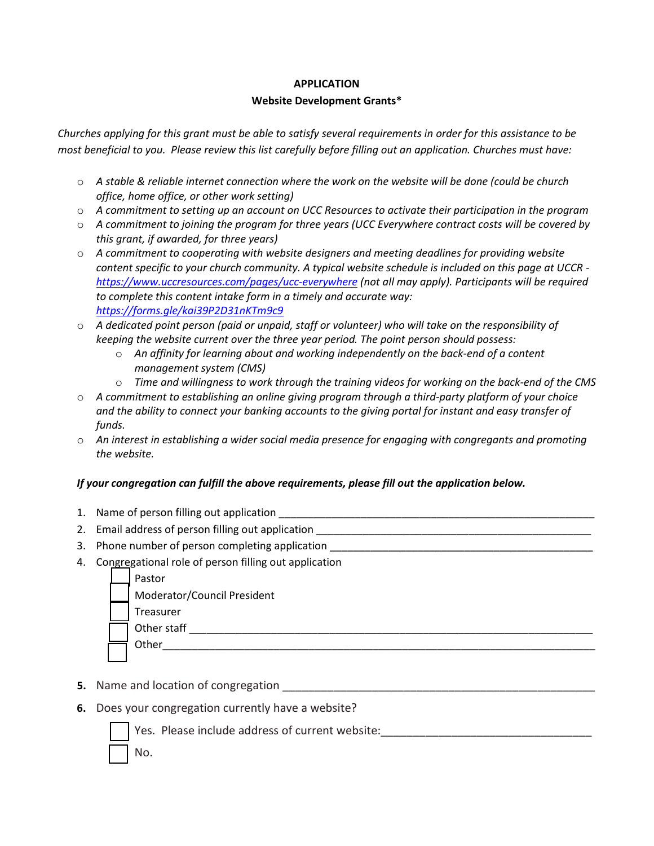#### **APPLICATION**

#### **Website Development Grants\***

*Churches applying for this grant must be able to satisfy several requirements in order for this assistance to be most beneficial to you. Please review this list carefully before filling out an application. Churches must have:* 

- o *A stable & reliable internet connection where the work on the website will be done (could be church office, home office, or other work setting)*
- o *A commitment to setting up an account on UCC Resources to activate their participation in the program*
- o *A commitment to joining the program for three years (UCC Everywhere contract costs will be covered by this grant, if awarded, for three years)*
- o *A commitment to cooperating with website designers and meeting deadlines for providing website content specific to your church community. A typical website schedule is included on this page at UCCR [https://www.uccresources.com/pages/ucc-everywhere](https://linkprotect.cudasvc.com/url?a=https%3a%2f%2fwww.uccresources.com%2fpages%2fucc-everywhere&c=E,1,3LtHmfwPz27gdboInVpzMkHiEf2CFqVOGKxVptqVCP62RI4SCjj2MoK3UNLQ_FmOD_y9O6mT-d9cREoVpGce1sx_bHid1-8dnNI1tSl_ket6_ytW5IcW0Gofj6w,&typo=1) (not all may apply). Participants will be required to complete this content intake form in a timely and accurate way: [https://forms.gle/kai39P2D31nKTm9c9](https://linkprotect.cudasvc.com/url?a=https%3a%2f%2fforms.gle%2fkai39P2D31nKTm9c9&c=E,1,zwxOOwUSrT2I3c6LIzpocOpO8vVsdLTuViveXmLPcXZRa1QoUjzcv06Th8RL_Bj7v4PsDr3YNjFbdhjrg8r4tW2_mtWdSkVNw4Jy5FPzvf5MkqwNJZ7i65o,&typo=1)*
- o *A dedicated point person (paid or unpaid, staff or volunteer) who will take on the responsibility of keeping the website current over the three year period. The point person should possess:* 
	- o *An affinity for learning about and working independently on the back-end of a content management system (CMS)*
	- o *Time and willingness to work through the training videos for working on the back-end of the CMS*
- o *A commitment to establishing an online giving program through a third-party platform of your choice and the ability to connect your banking accounts to the giving portal for instant and easy transfer of funds.*
- o *An interest in establishing a wider social media presence for engaging with congregants and promoting the website.*

## *If your congregation can fulfill the above requirements, please fill out the application below.*

- 1. Name of person filling out application \_\_\_\_\_\_\_\_\_\_\_\_\_\_\_\_\_\_\_\_\_\_\_\_\_\_\_\_\_\_\_\_\_\_\_\_\_\_\_\_\_\_\_\_\_\_\_\_\_\_\_\_\_\_
- 2. Email address of person filling out application
- 3. Phone number of person completing application \_\_\_\_\_\_\_\_\_\_\_\_\_\_\_\_\_\_\_\_\_\_\_\_\_\_\_\_\_\_\_
- 4. Congregational role of person filling out application

| Pastor                      |
|-----------------------------|
| Moderator/Council President |
| Treasurer                   |
| Other staff                 |
| Other                       |
|                             |

- **5.** Name and location of congregation **with all entity of the set of the set of the set of the set of the set o**
- **6.** Does your congregation currently have a website?



Yes. Please include address of current website:\_\_\_\_\_\_\_\_\_\_\_\_\_\_\_\_\_\_\_\_\_\_\_\_\_\_\_\_\_\_\_\_\_

No.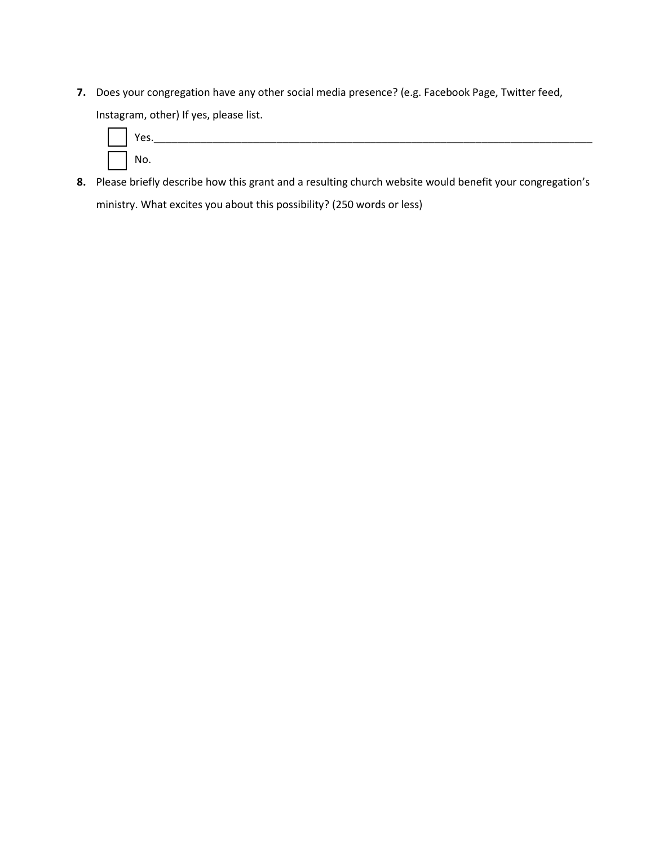**7.** Does your congregation have any other social media presence? (e.g. Facebook Page, Twitter feed, Instagram, other) If yes, please list.



**8.** Please briefly describe how this grant and a resulting church website would benefit your congregation's ministry. What excites you about this possibility? (250 words or less)